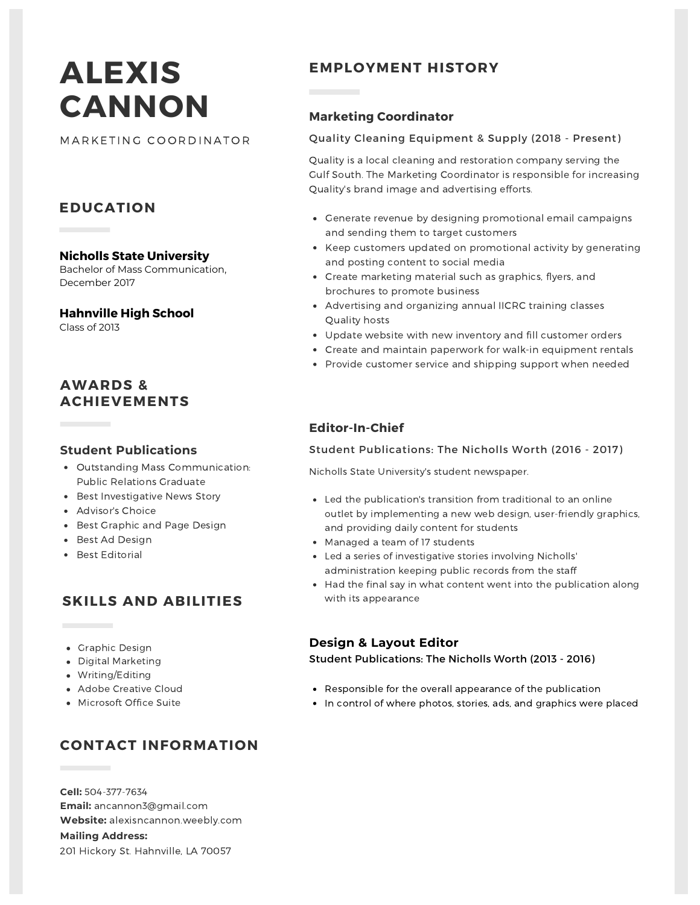# **ALEXIS CANNON**

MARKETING COORDINATOR

## **EDUCATION**

**Nicholls State University** Bachelor of Mass Communication,

December 2017

#### **Hahnville High School**

Class of 2013

## **AWARDS & ACHIEVEMENTS**

#### **Student Publications**

- Outstanding Mass Communication: Public Relations Graduate
- Best Investigative News Story
- Advisor's Choice
- Best Graphic and Page Design
- Best Ad Design
- Best Editorial

# **SKILLS AND ABILITIES**

- Graphic Design
- Digital Marketing
- Writing/Editing
- Adobe Creative Cloud
- Microsoft Office Suite

# **CONTACT INFORMATION**

**Cell:** 504-377-7634 **Email:** ancannon3@gmail.com **Website:** alexisncannon.weebly.com **Mailing Address:** 201 Hickory St. Hahnville, LA 70057

# **EMPLOYMENT HISTORY**

### **Marketing Coordinator**

#### Quality Cleaning Equipment & Supply (2018 - Present)

Quality is a local cleaning and restoration company serving the Gulf South. The Marketing Coordinator is responsible for increasing Quality's brand image and advertising efforts.

- Generate revenue by designing promotional email campaigns and sending them to target customers
- Keep customers updated on promotional activity by generating and posting content to social media
- Create marketing material such as graphics, flyers, and brochures to promote business
- Advertising and organizing annual IICRC training classes Quality hosts
- Update website with new inventory and fill customer orders
- Create and maintain paperwork for walk-in equipment rentals
- Provide customer service and shipping support when needed

## **Editor-In-Chief**

#### Student Publications: The Nicholls Worth (2016 - 2017)

Nicholls State University's student newspaper.

- Led the publication's transition from traditional to an online outlet by implementing a new web design, user-friendly graphics, and providing daily content for students
- Managed a team of 17 students
- Led a series of investigative stories involving Nicholls' administration keeping public records from the staff
- Had the final say in what content went into the publication along with its appearance

#### **Design & Layout Editor**

Student Publications: The Nicholls Worth (2013 - 2016)

- Responsible for the overall appearance of the publication
- In control of where photos, stories, ads, and graphics were placed